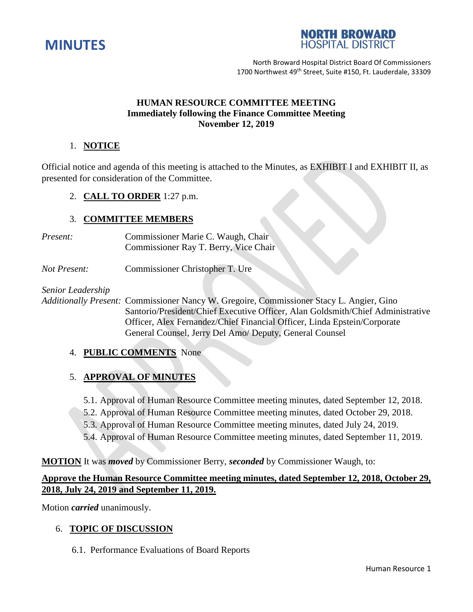



## **HUMAN RESOURCE COMMITTEE MEETING Immediately following the Finance Committee Meeting November 12, 2019**

# 1. **NOTICE**

Official notice and agenda of this meeting is attached to the Minutes, as EXHIBIT I and EXHIBIT II, as presented for consideration of the Committee.

2. **CALL TO ORDER** 1:27 p.m.

# 3. **COMMITTEE MEMBERS**

*Present:* Commissioner Marie C. Waugh, Chair Commissioner Ray T. Berry, Vice Chair

*Not Present:* Commissioner Christopher T. Ure

*Senior Leadership*

*Additionally Present:* Commissioner Nancy W. Gregoire, Commissioner Stacy L. Angier, Gino Santorio/President/Chief Executive Officer, Alan Goldsmith/Chief Administrative Officer, Alex Fernandez/Chief Financial Officer, Linda Epstein/Corporate General Counsel, Jerry Del Amo/ Deputy, General Counsel

#### 4. **PUBLIC COMMENTS** None

# 5. **APPROVAL OF MINUTES**

- 5.1. Approval of Human Resource Committee meeting minutes, dated September 12, 2018.
- 5.2. Approval of Human Resource Committee meeting minutes, dated October 29, 2018.
- 5.3. Approval of Human Resource Committee meeting minutes, dated July 24, 2019.
- 5.4. Approval of Human Resource Committee meeting minutes, dated September 11, 2019.

**MOTION** It was *moved* by Commissioner Berry, *seconded* by Commissioner Waugh, to:

# **Approve the Human Resource Committee meeting minutes, dated September 12, 2018, October 29, 2018, July 24, 2019 and September 11, 2019.**

Motion *carried* unanimously.

# 6. **TOPIC OF DISCUSSION**

6.1. Performance Evaluations of Board Reports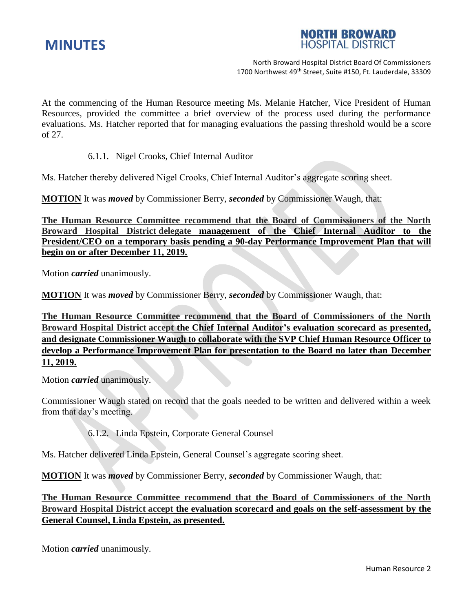



At the commencing of the Human Resource meeting Ms. Melanie Hatcher, Vice President of Human Resources, provided the committee a brief overview of the process used during the performance evaluations. Ms. Hatcher reported that for managing evaluations the passing threshold would be a score of 27.

6.1.1. Nigel Crooks, Chief Internal Auditor

Ms. Hatcher thereby delivered Nigel Crooks, Chief Internal Auditor's aggregate scoring sheet.

**MOTION** It was *moved* by Commissioner Berry, *seconded* by Commissioner Waugh, that:

**The Human Resource Committee recommend that the Board of Commissioners of the North Broward Hospital District delegate management of the Chief Internal Auditor to the President/CEO on a temporary basis pending a 90-day Performance Improvement Plan that will begin on or after December 11, 2019.**

Motion *carried* unanimously.

**MOTION** It was *moved* by Commissioner Berry, *seconded* by Commissioner Waugh, that:

**The Human Resource Committee recommend that the Board of Commissioners of the North Broward Hospital District accept the Chief Internal Auditor's evaluation scorecard as presented, and designate Commissioner Waugh to collaborate with the SVP Chief Human Resource Officer to develop a Performance Improvement Plan for presentation to the Board no later than December 11, 2019.** 

Motion *carried* unanimously.

Commissioner Waugh stated on record that the goals needed to be written and delivered within a week from that day's meeting.

6.1.2. Linda Epstein, Corporate General Counsel

Ms. Hatcher delivered Linda Epstein, General Counsel's aggregate scoring sheet.

**MOTION** It was *moved* by Commissioner Berry, *seconded* by Commissioner Waugh, that:

**The Human Resource Committee recommend that the Board of Commissioners of the North Broward Hospital District accept the evaluation scorecard and goals on the self-assessment by the General Counsel, Linda Epstein, as presented.** 

Motion *carried* unanimously.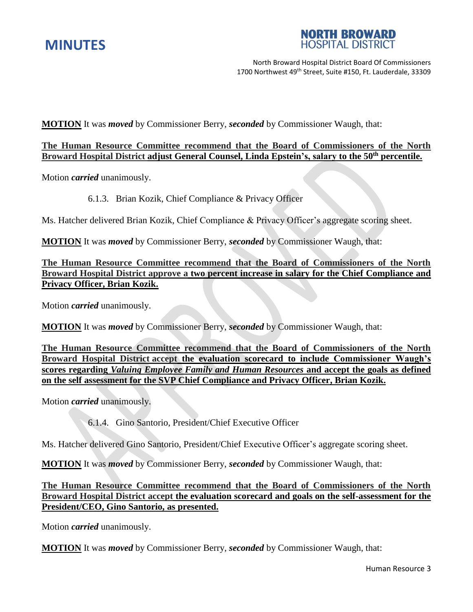



**MOTION** It was *moved* by Commissioner Berry, *seconded* by Commissioner Waugh, that:

# **The Human Resource Committee recommend that the Board of Commissioners of the North Broward Hospital District adjust General Counsel, Linda Epstein's, salary to the 50th percentile.**

Motion *carried* unanimously.

6.1.3. Brian Kozik, Chief Compliance & Privacy Officer

Ms. Hatcher delivered Brian Kozik, Chief Compliance & Privacy Officer's aggregate scoring sheet.

**MOTION** It was *moved* by Commissioner Berry, *seconded* by Commissioner Waugh, that:

**The Human Resource Committee recommend that the Board of Commissioners of the North Broward Hospital District approve a two percent increase in salary for the Chief Compliance and Privacy Officer, Brian Kozik.**

Motion *carried* unanimously.

**MOTION** It was *moved* by Commissioner Berry, *seconded* by Commissioner Waugh, that:

**The Human Resource Committee recommend that the Board of Commissioners of the North Broward Hospital District accept the evaluation scorecard to include Commissioner Waugh's scores regarding** *Valuing Employee Family and Human Resources* **and accept the goals as defined on the self assessment for the SVP Chief Compliance and Privacy Officer, Brian Kozik.**

Motion *carried* unanimously.

6.1.4. Gino Santorio, President/Chief Executive Officer

Ms. Hatcher delivered Gino Santorio, President/Chief Executive Officer's aggregate scoring sheet.

**MOTION** It was *moved* by Commissioner Berry, *seconded* by Commissioner Waugh, that:

**The Human Resource Committee recommend that the Board of Commissioners of the North Broward Hospital District accept the evaluation scorecard and goals on the self-assessment for the President/CEO, Gino Santorio, as presented.**

Motion *carried* unanimously.

**MOTION** It was *moved* by Commissioner Berry, *seconded* by Commissioner Waugh, that: